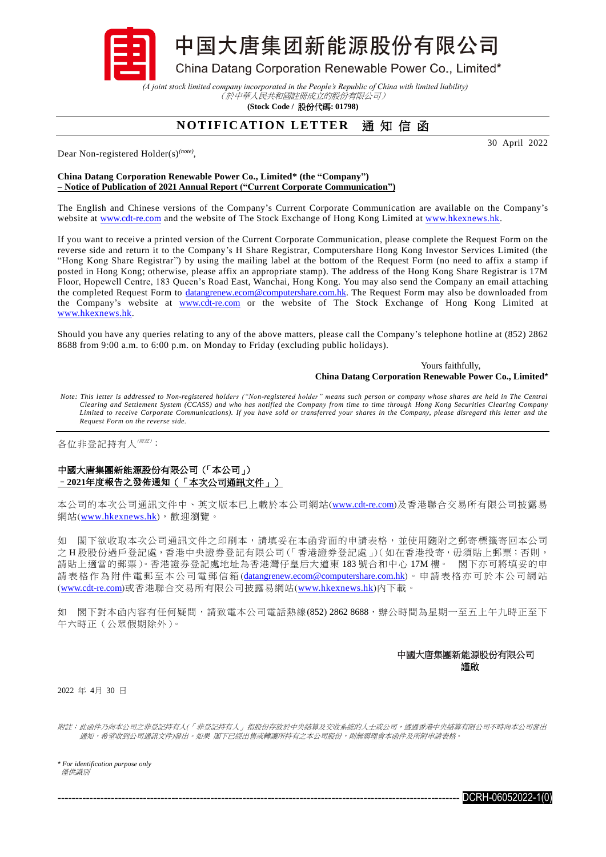中国大唐集团新能源股份有限公司

China Datang Corporation Renewable Power Co., Limited\*

*(A joint stock limited company incorporated in the People's Republic of China with limited liability)* (於中華人民共和國註冊成立的股份有限公司)

**(Stock Code /** 股份代碼**: 01798)**

## **NOTIFICATION LETTER** 通知信函

Dear Non-registered Holder(s)*(note)* ,

30 April 2022

## **China Datang Corporation Renewable Power Co., Limited\* (the "Company") – Notice of Publication of 2021 Annual Report ("Current Corporate Communication")**

The English and Chinese versions of the Company's Current Corporate Communication are available on the Company's website at [www.cdt-re.com](http://www.cdt-re.com/) and the website of The Stock Exchange of Hong Kong Limited at [www.hkexnews.hk.](http://www.hkexnews.hk/)

If you want to receive a printed version of the Current Corporate Communication, please complete the Request Form on the reverse side and return it to the Company's H Share Registrar, Computershare Hong Kong Investor Services Limited (the "Hong Kong Share Registrar") by using the mailing label at the bottom of the Request Form (no need to affix a stamp if posted in Hong Kong; otherwise, please affix an appropriate stamp). The address of the Hong Kong Share Registrar is 17M Floor, Hopewell Centre, 183 Queen's Road East, Wanchai, Hong Kong. You may also send the Company an email attaching the completed Request Form to *datangrenew.ecom@computershare.com.hk*. The Request Form may also be downloaded from the Company's website at [www.cdt-re.com](http://www.cdt-re.com/) or the website of The Stock Exchange of Hong Kong Limited at [www.hkexnews.hk.](http://www.hkexnews.hk/)

Should you have any queries relating to any of the above matters, please call the Company's telephone hotline at (852) 2862 8688 from 9:00 a.m. to 6:00 p.m. on Monday to Friday (excluding public holidays).

> Yours faithfully, **China Datang Corporation Renewable Power Co., Limited**\*

*Note: This letter is addressed to Non-registered holders ("Non-registered holder" means such person or company whose shares are held in The Central Clearing and Settlement System (CCASS) and who has notified the Company from time to time through Hong Kong Securities Clearing Company Limited to receive Corporate Communications). If you have sold or transferred your shares in the Company, please disregard this letter and the Request Form on the reverse side.*

各位非登記持有人(附註) :

## 中國大唐集團新能源股份有限公司(「本公司」) –**2021**年度報告之發佈通知(「本次公司通訊文件」)

本公司的本次公司通訊文件中、英文版本已上載於本公司網站([www.cdt-re.com](http://www.cdt-re.com/))及香港聯合交易所有限公司披露易 網站([www.hkexnews.hk](http://www.hkexnews.hk/index_c.htm)),歡迎瀏覽。

如 閣下欲收取本次公司通訊文件之印刷本,請填妥在本函背面的申請表格,並使用隨附之郵寄標籤寄回本公司 之 H 股股份過戶登記處, 香港中央證券登記有限公司 (「香港證券登記處」)(如在香港投寄, 毋須貼上郵票; 否則, 請貼上適當的郵票)。香港證券登記處地址為香港灣仔皇后大道東 183 號合和中心 17M 樓。 閣下亦可將填妥的申 請表格作為附件電郵至本公司電郵信箱([datangrenew.ecom@computershare.com.hk](mailto:datangrenew.ecom@computershare.com.hk))。申請表格亦可於本公司網站 ([www.cdt-re.com](http://www.cdt-re.com/))或香港聯合交易所有限公司披露易網站([www.hkexnews.hk](http://www.hkexnews.hk/index_c.htm))內下載。

如 閣下對本函內容有任何疑問,請致電本公司電話熱線(852) 2862 8688,辦公時間為星期一至五上午九時正至下 午六時正(公眾假期除外)。

## 中國大唐集團新能源股份有限公司 謹啟

2022 年 4月 30 日

附註:此函件乃向本公司之非登記持有人(「非登記持有人」指股份存放於中央結算及交收系統的人士或公司,透過香港中央結算有限公司不時向本公司發出 通知,希望收到公司通訊文件)發出。如果 閣下已經出售或轉讓所持有之本公司股份,則無需理會本函件及所附申請表格。

*\* For identification purpose only* 僅供識別

 $DCRH$ -06052022-1(0)